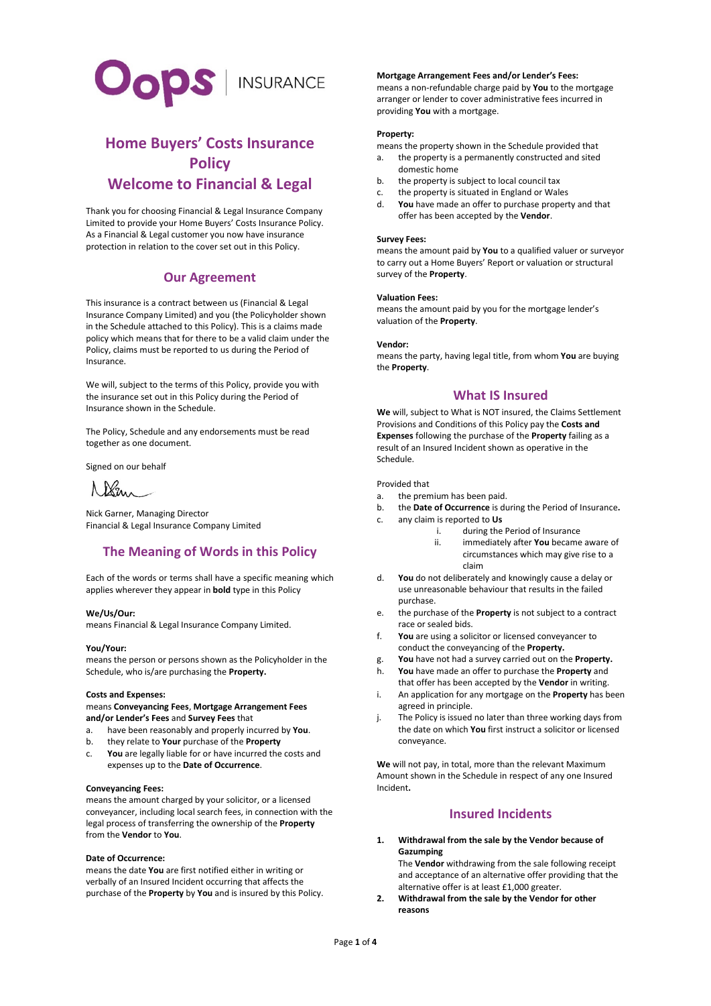

# **Home Buyers' Costs Insurance Policy Welcome to Financial & Legal**

Thank you for choosing Financial & Legal Insurance Company Limited to provide your Home Buyers' Costs Insurance Policy. As a Financial & Legal customer you now have insurance protection in relation to the cover set out in this Policy.

## **Our Agreement**

This insurance is a contract between us (Financial & Legal Insurance Company Limited) and you (the Policyholder shown in the Schedule attached to this Policy). This is a claims made policy which means that for there to be a valid claim under the Policy, claims must be reported to us during the Period of Insurance.

We will, subject to the terms of this Policy, provide you with the insurance set out in this Policy during the Period of Insurance shown in the Schedule.

The Policy, Schedule and any endorsements must be read together as one document.

Signed on our behalf

Ken

Nick Garner, Managing Director Financial & Legal Insurance Company Limited

## **The Meaning of Words in this Policy**

Each of the words or terms shall have a specific meaning which applies wherever they appear in **bold** type in this Policy

#### **We/Us/Our:**

means Financial & Legal Insurance Company Limited.

#### **You/Your:**

means the person or persons shown as the Policyholder in the Schedule, who is/are purchasing the **Property.**

#### **Costs and Expenses:**

means **Conveyancing Fees**, **Mortgage Arrangement Fees and/or Lender's Fees** and **Survey Fees** that

- a. have been reasonably and properly incurred by **You**.
- b. they relate to **Your** purchase of the **Property**
- c. **You** are legally liable for or have incurred the costs and expenses up to the **Date of Occurrence**.

#### **Conveyancing Fees:**

means the amount charged by your solicitor, or a licensed conveyancer, including local search fees, in connection with the legal process of transferring the ownership of the **Property** from the **Vendor** to **You**.

#### **Date of Occurrence:**

means the date **You** are first notified either in writing or verbally of an Insured Incident occurring that affects the purchase of the **Property** by **You** and is insured by this Policy.

#### **Mortgage Arrangement Fees and/or Lender's Fees:**

means a non-refundable charge paid by **You** to the mortgage arranger or lender to cover administrative fees incurred in providing **You** with a mortgage.

#### **Property:**

means the property shown in the Schedule provided that a. the property is a permanently constructed and sited domestic home

- b. the property is subject to local council tax
- c. the property is situated in England or Wales
- d. **You** have made an offer to purchase property and that offer has been accepted by the **Vendor**.

#### **Survey Fees:**

means the amount paid by **You** to a qualified valuer or surveyor to carry out a Home Buyers' Report or valuation or structural survey of the **Property**.

#### **Valuation Fees:**

means the amount paid by you for the mortgage lender's valuation of the **Property**.

#### **Vendor:**

means the party, having legal title, from whom **You** are buying the **Property**.

## **What IS Insured**

**We** will, subject to What is NOT insured, the Claims Settlement Provisions and Conditions of this Policy pay the **Costs and Expenses** following the purchase of the **Property** failing as a result of an Insured Incident shown as operative in the Schedule.

#### Provided that

- a. the premium has been paid.
- b. the **Date of Occurrence** is during the Period of Insurance**.**
- c. any claim is reported to **Us**
	- during the Period of Insurance
		- ii. immediately after **You** became aware of circumstances which may give rise to a claim
- d. **You** do not deliberately and knowingly cause a delay or use unreasonable behaviour that results in the failed purchase.
- e. the purchase of the **Property** is not subject to a contract race or sealed bids.
- f. **You** are using a solicitor or licensed conveyancer to conduct the conveyancing of the **Property.**
- g. **You** have not had a survey carried out on the **Property.**
- h. **You** have made an offer to purchase the **Property** and that offer has been accepted by the **Vendor** in writing.
- i. An application for any mortgage on the **Property** has been agreed in principle.
- j. The Policy is issued no later than three working days from the date on which **You** first instruct a solicitor or licensed conveyance.

**We** will not pay, in total, more than the relevant Maximum Amount shown in the Schedule in respect of any one Insured Incident**.** 

## **Insured Incidents**

### **1. Withdrawal from the sale by the Vendor because of Gazumping**

The **Vendor** withdrawing from the sale following receipt and acceptance of an alternative offer providing that the alternative offer is at least £1,000 greater.

**2. Withdrawal from the sale by the Vendor for other reasons**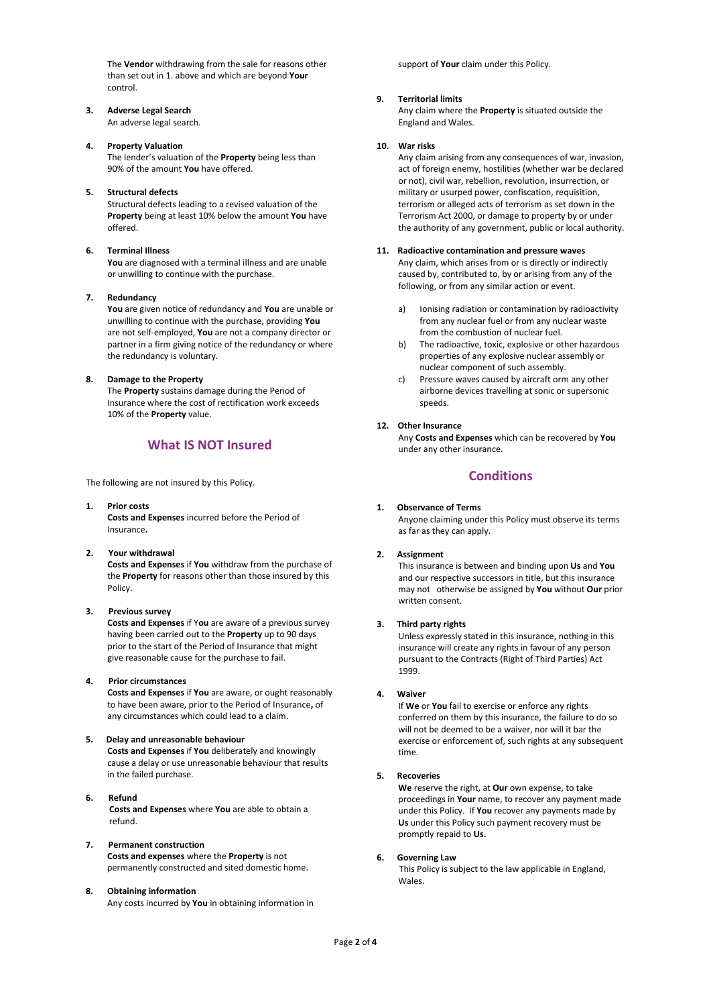The **Vendor** withdrawing from the sale for reasons other than set out in 1. above and which are beyond **Your** control.

#### **3. Adverse Legal Search** An adverse legal search.

### **4. Property Valuation**

The lender's valuation of the **Property** being less than 90% of the amount **You** have offered.

### **5. Structural defects**

Structural defects leading to a revised valuation of the **Property** being at least 10% below the amount **You** have offered.

#### **6. Terminal Illness**

**You** are diagnosed with a terminal illness and are unable or unwilling to continue with the purchase.

#### **7. Redundancy**

**You** are given notice of redundancy and **You** are unable or unwilling to continue with the purchase, providing **You** are not self-employed, **You** are not a company director or partner in a firm giving notice of the redundancy or where the redundancy is voluntary.

#### **8. Damage to the Property**

The **Property** sustains damage during the Period of Insurance where the cost of rectification work exceeds 10% of the **Property** value.

## **What IS NOT Insured**

The following are not insured by this Policy.

**1. Prior costs Costs and Expenses** incurred before the Period of Insurance**.**

#### **2. Your withdrawal**

**Costs and Expenses** if **You** withdraw from the purchase of the **Property** for reasons other than those insured by this Policy.

#### **3. Previous survey**

**Costs and Expenses** if Y**ou** are aware of a previous survey having been carried out to the **Property** up to 90 days prior to the start of the Period of Insurance that might give reasonable cause for the purchase to fail.

#### **4. Prior circumstances**

**Costs and Expenses** if **You** are aware, or ought reasonably to have been aware, prior to the Period of Insurance**,** of any circumstances which could lead to a claim.

#### **5. Delay and unreasonable behaviour**

**Costs and Expenses** if **You** deliberately and knowingly cause a delay or use unreasonable behaviour that results in the failed purchase.

- **6. Refund Costs and Expenses** where **You** are able to obtain a refund.
- **7. Permanent construction Costs and expenses** where the **Property** is not permanently constructed and sited domestic home.
- **8. Obtaining information** Any costs incurred by **You** in obtaining information in

support of **Your** claim under this Policy.

#### **9. Territorial limits**

Any claim where the **Property** is situated outside the England and Wales.

#### **10. War risks**

Any claim arising from any consequences of war, invasion, act of foreign enemy, hostilities (whether war be declared or not), civil war, rebellion, revolution, insurrection, or military or usurped power, confiscation, requisition, terrorism or alleged acts of terrorism as set down in the Terrorism Act 2000, or damage to property by or under the authority of any government, public or local authority.

#### **11. Radioactive contamination and pressure waves**

Any claim, which arises from or is directly or indirectly caused by, contributed to, by or arising from any of the following, or from any similar action or event.

- a) Ionising radiation or contamination by radioactivity from any nuclear fuel or from any nuclear waste from the combustion of nuclear fuel.
- b) The radioactive, toxic, explosive or other hazardous properties of any explosive nuclear assembly or nuclear component of such assembly.
- c) Pressure waves caused by aircraft orm any other airborne devices travelling at sonic or supersonic speeds.

#### **12. Other Insurance**

Any **Costs and Expenses** which can be recovered by **You**  under any other insurance.

## **Conditions**

#### **1. Observance of Terms**

Anyone claiming under this Policy must observe its terms as far as they can apply.

### **2. Assignment**

This insurance is between and binding upon **Us** and **You** and our respective successors in title, but this insurance may not otherwise be assigned by **You** without **Our** prior written consent.

#### **3. Third party rights**

Unless expressly stated in this insurance, nothing in this insurance will create any rights in favour of any person pursuant to the Contracts (Right of Third Parties) Act 1999.

#### **4. Waiver**

If **We** or **You** fail to exercise or enforce any rights conferred on them by this insurance, the failure to do so will not be deemed to be a waiver, nor will it bar the exercise or enforcement of, such rights at any subsequent time.

#### **5. Recoveries**

**We** reserve the right, at **Our** own expense, to take proceedings in **Your** name, to recover any payment made under this Policy. If **You** recover any payments made by **Us** under this Policy such payment recovery must be promptly repaid to **Us.**

#### **6. Governing Law**

This Policy is subject to the law applicable in England, Wales.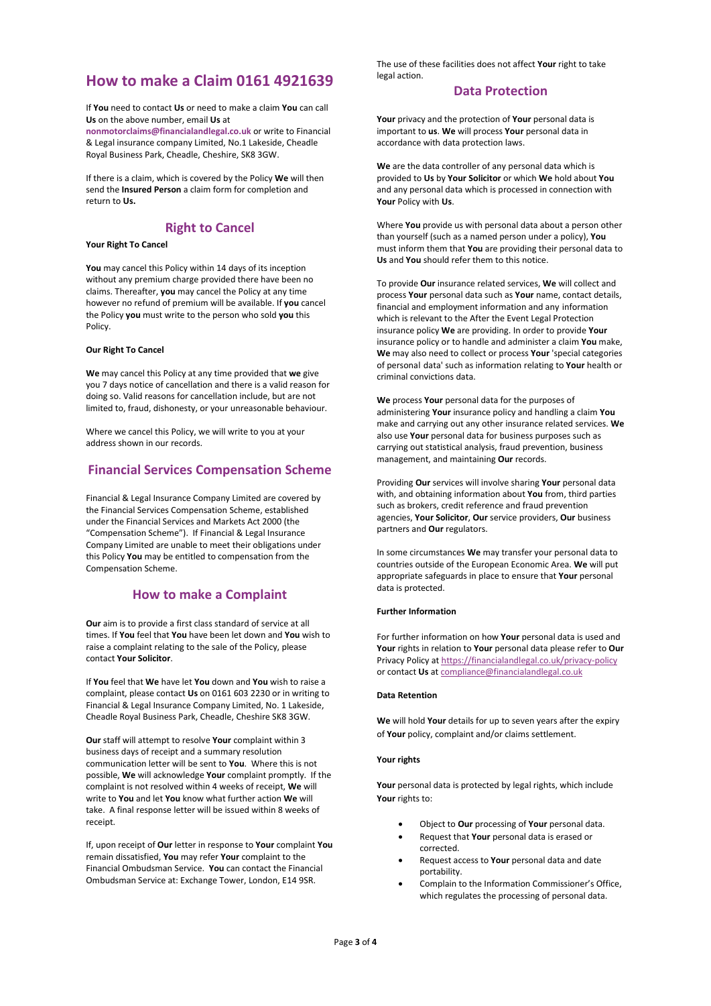# **How to make a Claim 0161 4921639**

If **You** need to contact **Us** or need to make a claim **You** can call **Us** on the above number, email **Us** at

**nonmotorclaims@financialandlegal.co.uk** or write to Financial & Legal insurance company Limited, No.1 Lakeside, Cheadle Royal Business Park, Cheadle, Cheshire, SK8 3GW.

If there is a claim, which is covered by the Policy **We** will then send the **Insured Person** a claim form for completion and return to **Us.**

## **Right to Cancel**

### **Your Right To Cancel**

**You** may cancel this Policy within 14 days of its inception without any premium charge provided there have been no claims. Thereafter, **you** may cancel the Policy at any time however no refund of premium will be available. If **you** cancel the Policy **you** must write to the person who sold **you** this Policy.

#### **Our Right To Cancel**

**We** may cancel this Policy at any time provided that **we** give you 7 days notice of cancellation and there is a valid reason for doing so. Valid reasons for cancellation include, but are not limited to, fraud, dishonesty, or your unreasonable behaviour.

Where we cancel this Policy, we will write to you at your address shown in our records.

## **Financial Services Compensation Scheme**

Financial & Legal Insurance Company Limited are covered by the Financial Services Compensation Scheme, established under the Financial Services and Markets Act 2000 (the "Compensation Scheme"). If Financial & Legal Insurance Company Limited are unable to meet their obligations under this Policy **You** may be entitled to compensation from the Compensation Scheme.

## **How to make a Complaint**

**Our** aim is to provide a first class standard of service at all times. If **You** feel that **You** have been let down and **You** wish to raise a complaint relating to the sale of the Policy, please contact **Your Solicitor**.

If **You** feel that **We** have let **You** down and **You** wish to raise a complaint, please contact **Us** on 0161 603 2230 or in writing to Financial & Legal Insurance Company Limited, No. 1 Lakeside, Cheadle Royal Business Park, Cheadle, Cheshire SK8 3GW.

**Our** staff will attempt to resolve **Your** complaint within 3 business days of receipt and a summary resolution communication letter will be sent to **You**. Where this is not possible, **We** will acknowledge **Your** complaint promptly. If the complaint is not resolved within 4 weeks of receipt, **We** will write to **You** and let **You** know what further action **We** will take. A final response letter will be issued within 8 weeks of receipt.

If, upon receipt of **Our** letter in response to **Your** complaint **You**  remain dissatisfied, **You** may refer **Your** complaint to the Financial Ombudsman Service. **You** can contact the Financial Ombudsman Service at: Exchange Tower, London, E14 9SR.

The use of these facilities does not affect **Your** right to take legal action.

## **Data Protection**

**Your** privacy and the protection of **Your** personal data is important to **us**. **We** will process **Your** personal data in accordance with data protection laws.

**We** are the data controller of any personal data which is provided to **Us** by **Your Solicitor** or which **We** hold about **You** and any personal data which is processed in connection with **Your** Policy with **Us**.

Where **You** provide us with personal data about a person other than yourself (such as a named person under a policy), **You** must inform them that **You** are providing their personal data to **Us** and **You** should refer them to this notice.

To provide **Our** insurance related services, **We** will collect and process **Your** personal data such as **Your** name, contact details, financial and employment information and any information which is relevant to the After the Event Legal Protection insurance policy **We** are providing. In order to provide **Your** insurance policy or to handle and administer a claim **You** make, **We** may also need to collect or process **Your** 'special categories of personal data' such as information relating to **Your** health or criminal convictions data.

**We** process **Your** personal data for the purposes of administering **Your** insurance policy and handling a claim **You** make and carrying out any other insurance related services. **We** also use **Your** personal data for business purposes such as carrying out statistical analysis, fraud prevention, business management, and maintaining **Our** records.

Providing **Our** services will involve sharing **Your** personal data with, and obtaining information about **You** from, third parties such as brokers, credit reference and fraud prevention agencies, **Your Solicitor**, **Our** service providers, **Our** business partners and **Our** regulators.

In some circumstances **We** may transfer your personal data to countries outside of the European Economic Area. **We** will put appropriate safeguards in place to ensure that **Your** personal data is protected.

#### **Further Information**

For further information on how **Your** personal data is used and **Your** rights in relation to **Your** personal data please refer to **Our** Privacy Policy at<https://financialandlegal.co.uk/privacy-policy> or contact **Us** a[t compliance@financialandlegal.co.uk](mailto:compliance@financialandlegal.co.uk) 

#### **Data Retention**

**We** will hold **Your** details for up to seven years after the expiry of **Your** policy, complaint and/or claims settlement.

#### **Your rights**

**Your** personal data is protected by legal rights, which include **Your** rights to:

- Object to **Our** processing of **Your** personal data.
- Request that **Your** personal data is erased or corrected.
- Request access to **Your** personal data and date portability.
- Complain to the Information Commissioner's Office, which regulates the processing of personal data.